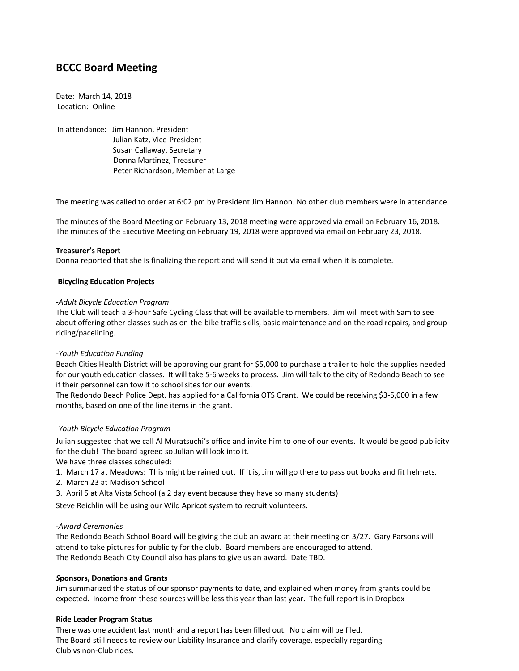# **BCCC Board Meeting**

Date: March 14, 2018 Location: Online

In attendance: Jim Hannon, President Julian Katz, Vice-President Susan Callaway, Secretary Donna Martinez, Treasurer Peter Richardson, Member at Large

The meeting was called to order at 6:02 pm by President Jim Hannon. No other club members were in attendance.

The minutes of the Board Meeting on February 13, 2018 meeting were approved via email on February 16, 2018. The minutes of the Executive Meeting on February 19, 2018 were approved via email on February 23, 2018.

# **Treasurer's Report**

Donna reported that she is finalizing the report and will send it out via email when it is complete.

# **Bicycling Education Projects**

#### *-Adult Bicycle Education Program*

The Club will teach a 3-hour Safe Cycling Class that will be available to members. Jim will meet with Sam to see about offering other classes such as on-the-bike traffic skills, basic maintenance and on the road repairs, and group riding/pacelining.

# *-Youth Education Funding*

Beach Cities Health District will be approving our grant for \$5,000 to purchase a trailer to hold the supplies needed for our youth education classes. It will take 5-6 weeks to process. Jim will talk to the city of Redondo Beach to see if their personnel can tow it to school sites for our events.

The Redondo Beach Police Dept. has applied for a California OTS Grant. We could be receiving \$3-5,000 in a few months, based on one of the line items in the grant.

# *-Youth Bicycle Education Program*

Julian suggested that we call Al Muratsuchi's office and invite him to one of our events. It would be good publicity for the club! The board agreed so Julian will look into it.

We have three classes scheduled:

1. March 17 at Meadows: This might be rained out. If it is, Jim will go there to pass out books and fit helmets.

- 2. March 23 at Madison School
- 3. April 5 at Alta Vista School (a 2 day event because they have so many students)

Steve Reichlin will be using our Wild Apricot system to recruit volunteers.

# *-Award Ceremonies*

The Redondo Beach School Board will be giving the club an award at their meeting on 3/27. Gary Parsons will attend to take pictures for publicity for the club. Board members are encouraged to attend. The Redondo Beach City Council also has plans to give us an award. Date TBD.

#### *S***ponsors, Donations and Grants**

Jim summarized the status of our sponsor payments to date, and explained when money from grants could be expected. Income from these sources will be less this year than last year. The full report is in Dropbox

#### **Ride Leader Program Status**

There was one accident last month and a report has been filled out. No claim will be filed. The Board still needs to review our Liability Insurance and clarify coverage, especially regarding Club vs non-Club rides.